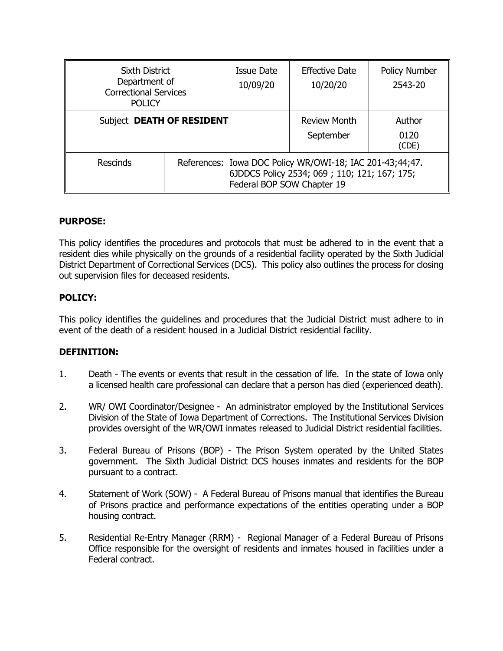| <b>Sixth District</b><br>Department of<br><b>Correctional Services</b><br><b>POLICY</b> |                                                                                                                                        | Issue Date<br>10/09/20 | <b>Effective Date</b><br>10/20/20 | Policy Number<br>2543-20 |
|-----------------------------------------------------------------------------------------|----------------------------------------------------------------------------------------------------------------------------------------|------------------------|-----------------------------------|--------------------------|
| Subject DEATH OF RESIDENT                                                               |                                                                                                                                        |                        | <b>Review Month</b><br>September  | Author<br>0120<br>(CDE)  |
| <b>Rescinds</b>                                                                         | References: Iowa DOC Policy WR/OWI-18; IAC 201-43;44;47.<br>6JDDCS Policy 2534; 069; 110; 121; 167; 175;<br>Federal BOP SOW Chapter 19 |                        |                                   |                          |

# **PURPOSE:**

This policy identifies the procedures and protocols that must be adhered to in the event that a resident dies while physically on the grounds of a residential facility operated by the Sixth Judicial District Department of Correctional Services (DCS). This policy also outlines the process for closing out supervision files for deceased residents.

# **POLICY:**

This policy identifies the guidelines and procedures that the Judicial District must adhere to in event of the death of a resident housed in a Judicial District residential facility.

### **DEFINITION:**

- 1. Death The events or events that result in the cessation of life. In the state of Iowa only a licensed health care professional can declare that a person has died (experienced death).
- 2. WR/ OWI Coordinator/Designee An administrator employed by the Institutional Services Division of the State of Iowa Department of Corrections. The Institutional Services Division provides oversight of the WR/OWI inmates released to Judicial District residential facilities.
- 3. Federal Bureau of Prisons (BOP) The Prison System operated by the United States government. The Sixth Judicial District DCS houses inmates and residents for the BOP pursuant to a contract.
- 4. Statement of Work (SOW) A Federal Bureau of Prisons manual that identifies the Bureau of Prisons practice and performance expectations of the entities operating under a BOP housing contract.
- 5. Residential Re-Entry Manager (RRM) Regional Manager of a Federal Bureau of Prisons Office responsible for the oversight of residents and inmates housed in facilities under a Federal contract.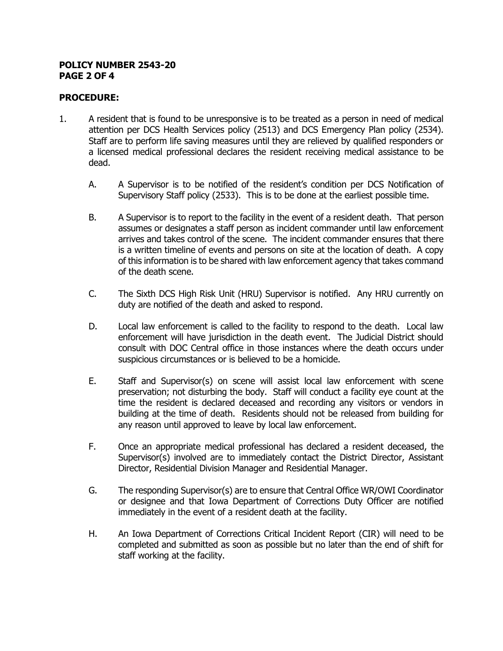#### **POLICY NUMBER 2543-20 PAGE 2 OF 4**

## **PROCEDURE:**

- 1. A resident that is found to be unresponsive is to be treated as a person in need of medical attention per DCS Health Services policy (2513) and DCS Emergency Plan policy (2534). Staff are to perform life saving measures until they are relieved by qualified responders or a licensed medical professional declares the resident receiving medical assistance to be dead.
	- A. A Supervisor is to be notified of the resident's condition per DCS Notification of Supervisory Staff policy (2533). This is to be done at the earliest possible time.
	- B. A Supervisor is to report to the facility in the event of a resident death. That person assumes or designates a staff person as incident commander until law enforcement arrives and takes control of the scene. The incident commander ensures that there is a written timeline of events and persons on site at the location of death. A copy of this information is to be shared with law enforcement agency that takes command of the death scene.
	- C. The Sixth DCS High Risk Unit (HRU) Supervisor is notified. Any HRU currently on duty are notified of the death and asked to respond.
	- D. Local law enforcement is called to the facility to respond to the death. Local law enforcement will have jurisdiction in the death event. The Judicial District should consult with DOC Central office in those instances where the death occurs under suspicious circumstances or is believed to be a homicide.
	- E. Staff and Supervisor(s) on scene will assist local law enforcement with scene preservation; not disturbing the body. Staff will conduct a facility eye count at the time the resident is declared deceased and recording any visitors or vendors in building at the time of death. Residents should not be released from building for any reason until approved to leave by local law enforcement.
	- F. Once an appropriate medical professional has declared a resident deceased, the Supervisor(s) involved are to immediately contact the District Director, Assistant Director, Residential Division Manager and Residential Manager.
	- G. The responding Supervisor(s) are to ensure that Central Office WR/OWI Coordinator or designee and that Iowa Department of Corrections Duty Officer are notified immediately in the event of a resident death at the facility.
	- H. An Iowa Department of Corrections Critical Incident Report (CIR) will need to be completed and submitted as soon as possible but no later than the end of shift for staff working at the facility.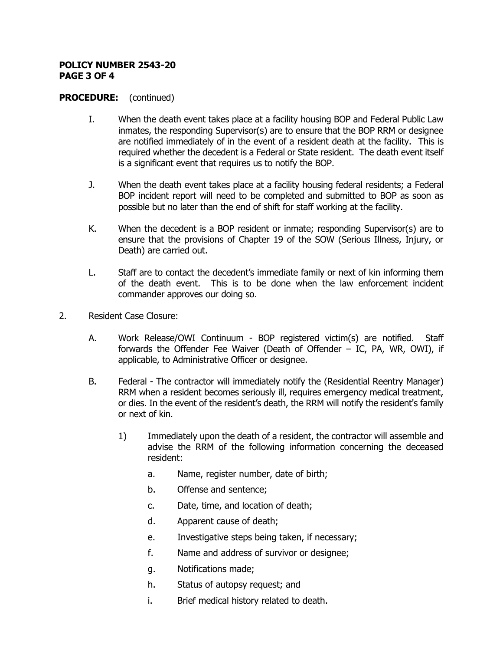#### **POLICY NUMBER 2543-20 PAGE 3 OF 4**

### **PROCEDURE:** (continued)

- I. When the death event takes place at a facility housing BOP and Federal Public Law inmates, the responding Supervisor(s) are to ensure that the BOP RRM or designee are notified immediately of in the event of a resident death at the facility. This is required whether the decedent is a Federal or State resident. The death event itself is a significant event that requires us to notify the BOP.
- J. When the death event takes place at a facility housing federal residents; a Federal BOP incident report will need to be completed and submitted to BOP as soon as possible but no later than the end of shift for staff working at the facility.
- K. When the decedent is a BOP resident or inmate; responding Supervisor(s) are to ensure that the provisions of Chapter 19 of the SOW (Serious Illness, Injury, or Death) are carried out.
- L. Staff are to contact the decedent's immediate family or next of kin informing them of the death event. This is to be done when the law enforcement incident commander approves our doing so.
- 2. Resident Case Closure:
	- A. Work Release/OWI Continuum BOP registered victim(s) are notified. Staff forwards the Offender Fee Waiver (Death of Offender – IC, PA, WR, OWI), if applicable, to Administrative Officer or designee.
	- B. Federal The contractor will immediately notify the (Residential Reentry Manager) RRM when a resident becomes seriously ill, requires emergency medical treatment, or dies. In the event of the resident's death, the RRM will notify the resident's family or next of kin.
		- 1) Immediately upon the death of a resident, the contractor will assemble and advise the RRM of the following information concerning the deceased resident:
			- a. Name, register number, date of birth;
			- b. Offense and sentence;
			- c. Date, time, and location of death;
			- d. Apparent cause of death;
			- e. Investigative steps being taken, if necessary;
			- f. Name and address of survivor or designee;
			- g. Notifications made;
			- h. Status of autopsy request; and
			- i. Brief medical history related to death.